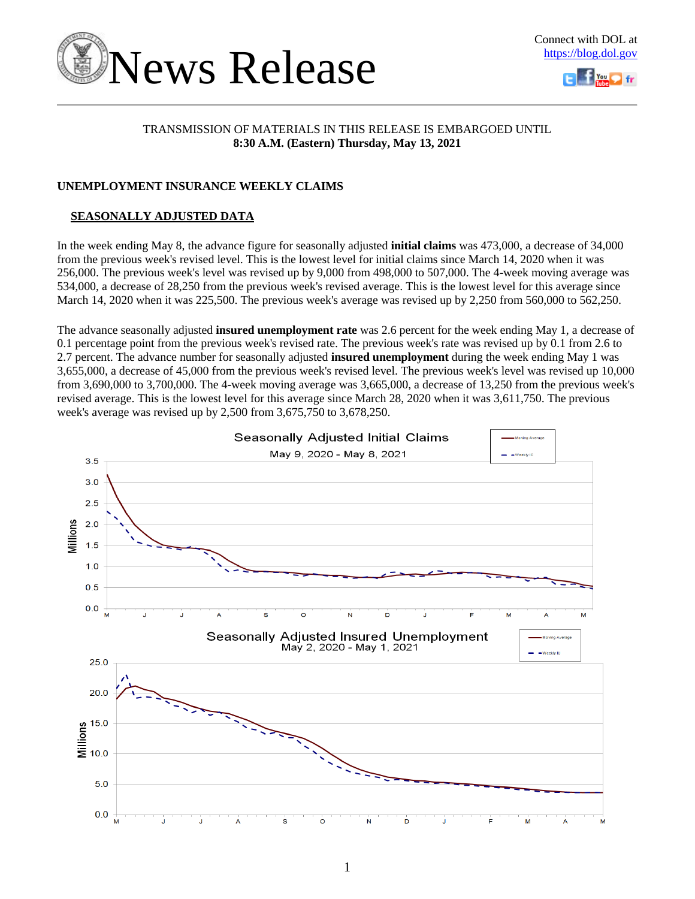



### TRANSMISSION OF MATERIALS IN THIS RELEASE IS EMBARGOED UNTIL **8:30 A.M. (Eastern) Thursday, May 13, 2021**

### **UNEMPLOYMENT INSURANCE WEEKLY CLAIMS**

### **SEASONALLY ADJUSTED DATA**

In the week ending May 8, the advance figure for seasonally adjusted **initial claims** was 473,000, a decrease of 34,000 from the previous week's revised level. This is the lowest level for initial claims since March 14, 2020 when it was 256,000. The previous week's level was revised up by 9,000 from 498,000 to 507,000. The 4-week moving average was 534,000, a decrease of 28,250 from the previous week's revised average. This is the lowest level for this average since March 14, 2020 when it was 225,500. The previous week's average was revised up by 2,250 from 560,000 to 562,250.

The advance seasonally adjusted **insured unemployment rate** was 2.6 percent for the week ending May 1, a decrease of 0.1 percentage point from the previous week's revised rate. The previous week's rate was revised up by 0.1 from 2.6 to 2.7 percent. The advance number for seasonally adjusted **insured unemployment** during the week ending May 1 was 3,655,000, a decrease of 45,000 from the previous week's revised level. The previous week's level was revised up 10,000 from 3,690,000 to 3,700,000. The 4-week moving average was 3,665,000, a decrease of 13,250 from the previous week's revised average. This is the lowest level for this average since March 28, 2020 when it was 3,611,750. The previous week's average was revised up by 2,500 from 3,675,750 to 3,678,250.

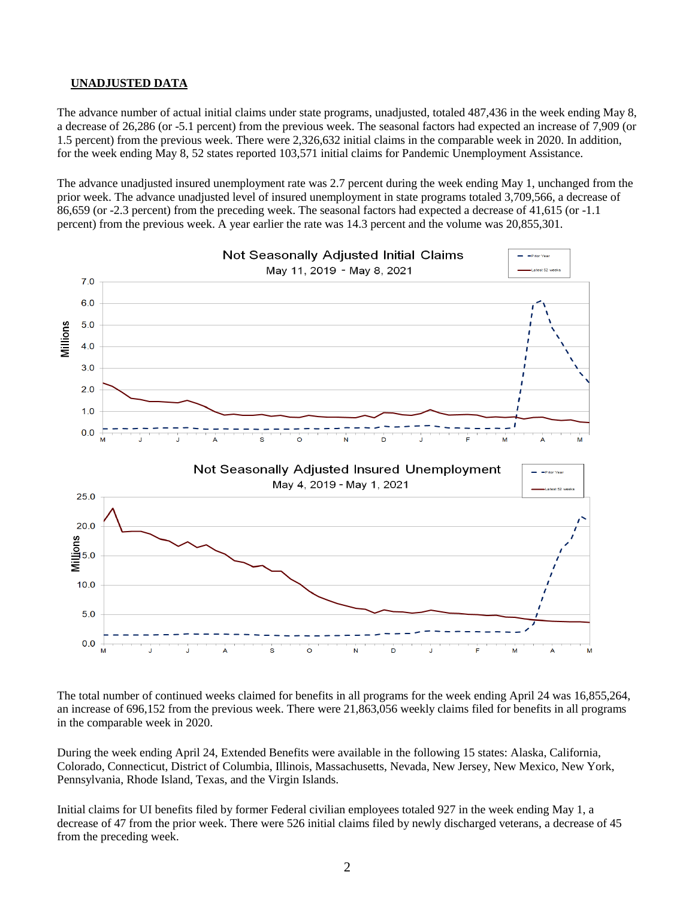### **UNADJUSTED DATA**

The advance number of actual initial claims under state programs, unadjusted, totaled 487,436 in the week ending May 8, a decrease of 26,286 (or -5.1 percent) from the previous week. The seasonal factors had expected an increase of 7,909 (or 1.5 percent) from the previous week. There were 2,326,632 initial claims in the comparable week in 2020. In addition, for the week ending May 8, 52 states reported 103,571 initial claims for Pandemic Unemployment Assistance.

The advance unadjusted insured unemployment rate was 2.7 percent during the week ending May 1, unchanged from the prior week. The advance unadjusted level of insured unemployment in state programs totaled 3,709,566, a decrease of 86,659 (or -2.3 percent) from the preceding week. The seasonal factors had expected a decrease of 41,615 (or -1.1 percent) from the previous week. A year earlier the rate was 14.3 percent and the volume was 20,855,301.



The total number of continued weeks claimed for benefits in all programs for the week ending April 24 was 16,855,264, an increase of 696,152 from the previous week. There were 21,863,056 weekly claims filed for benefits in all programs in the comparable week in 2020.

During the week ending April 24, Extended Benefits were available in the following 15 states: Alaska, California, Colorado, Connecticut, District of Columbia, Illinois, Massachusetts, Nevada, New Jersey, New Mexico, New York, Pennsylvania, Rhode Island, Texas, and the Virgin Islands.

Initial claims for UI benefits filed by former Federal civilian employees totaled 927 in the week ending May 1, a decrease of 47 from the prior week. There were 526 initial claims filed by newly discharged veterans, a decrease of 45 from the preceding week.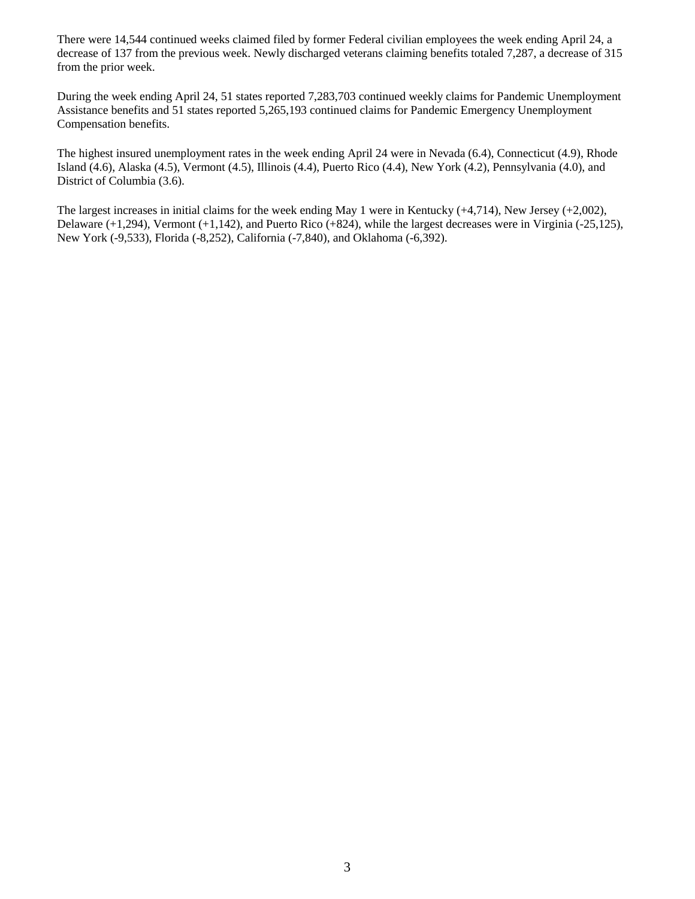There were 14,544 continued weeks claimed filed by former Federal civilian employees the week ending April 24, a decrease of 137 from the previous week. Newly discharged veterans claiming benefits totaled 7,287, a decrease of 315 from the prior week.

During the week ending April 24, 51 states reported 7,283,703 continued weekly claims for Pandemic Unemployment Assistance benefits and 51 states reported 5,265,193 continued claims for Pandemic Emergency Unemployment Compensation benefits.

The highest insured unemployment rates in the week ending April 24 were in Nevada (6.4), Connecticut (4.9), Rhode Island (4.6), Alaska (4.5), Vermont (4.5), Illinois (4.4), Puerto Rico (4.4), New York (4.2), Pennsylvania (4.0), and District of Columbia (3.6).

The largest increases in initial claims for the week ending May 1 were in Kentucky (+4,714), New Jersey (+2,002), Delaware (+1,294), Vermont (+1,142), and Puerto Rico (+824), while the largest decreases were in Virginia (-25,125), New York (-9,533), Florida (-8,252), California (-7,840), and Oklahoma (-6,392).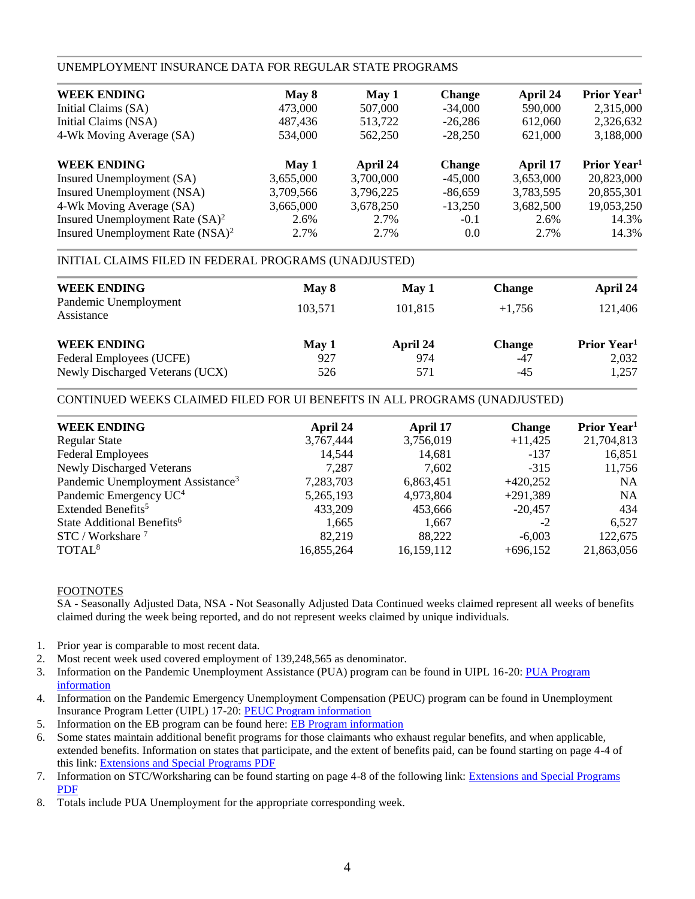### UNEMPLOYMENT INSURANCE DATA FOR REGULAR STATE PROGRAMS

| May 8     | May 1     | <b>Change</b> | April 24  | Prior Year <sup>1</sup> |
|-----------|-----------|---------------|-----------|-------------------------|
| 473,000   | 507,000   | $-34,000$     | 590,000   | 2,315,000               |
| 487,436   | 513,722   | $-26,286$     | 612,060   | 2,326,632               |
| 534,000   | 562,250   | $-28.250$     | 621,000   | 3,188,000               |
| May 1     | April 24  | <b>Change</b> | April 17  | Prior Year <sup>1</sup> |
| 3,655,000 | 3,700,000 | $-45,000$     | 3,653,000 | 20,823,000              |
| 3,709,566 | 3,796,225 | $-86,659$     | 3,783,595 | 20,855,301              |
| 3,665,000 | 3,678,250 | $-13,250$     | 3,682,500 | 19,053,250              |
| 2.6%      | 2.7%      | $-0.1$        | 2.6%      | 14.3%                   |
| 2.7%      | 2.7%      | 0.0           | 2.7%      | 14.3%                   |
|           |           |               |           |                         |

### INITIAL CLAIMS FILED IN FEDERAL PROGRAMS (UNADJUSTED)

| <b>WEEK ENDING</b>                  | May 8   | May 1    | <b>Change</b> | April 24                       |
|-------------------------------------|---------|----------|---------------|--------------------------------|
| Pandemic Unemployment<br>Assistance | 103.571 | 101,815  | $+1.756$      | 121,406                        |
| <b>WEEK ENDING</b>                  | May 1   | April 24 | <b>Change</b> | <b>Prior Year</b> <sup>1</sup> |
| Federal Employees (UCFE)            | 927     | 974      | -47           | 2,032                          |
| Newly Discharged Veterans (UCX)     | 526     | 571      | $-45$         | 1,257                          |

### CONTINUED WEEKS CLAIMED FILED FOR UI BENEFITS IN ALL PROGRAMS (UNADJUSTED)

| <b>WEEK ENDING</b>                            | April 24   | April 17   | <b>Change</b> | Prior Year <sup>1</sup> |
|-----------------------------------------------|------------|------------|---------------|-------------------------|
| <b>Regular State</b>                          | 3,767,444  | 3,756,019  | $+11,425$     | 21,704,813              |
| <b>Federal Employees</b>                      | 14.544     | 14,681     | $-137$        | 16,851                  |
| <b>Newly Discharged Veterans</b>              | 7.287      | 7,602      | $-315$        | 11,756                  |
| Pandemic Unemployment Assistance <sup>3</sup> | 7,283,703  | 6,863,451  | $+420,252$    | <b>NA</b>               |
| Pandemic Emergency UC <sup>4</sup>            | 5,265,193  | 4,973,804  | $+291,389$    | <b>NA</b>               |
| Extended Benefits <sup>5</sup>                | 433.209    | 453,666    | $-20.457$     | 434                     |
| State Additional Benefits <sup>6</sup>        | 1,665      | 1,667      | $-2$          | 6,527                   |
| $STC / Workshare$ <sup>7</sup>                | 82.219     | 88.222     | $-6,003$      | 122,675                 |
| TOTAL <sup>8</sup>                            | 16,855,264 | 16,159,112 | $+696,152$    | 21,863,056              |
|                                               |            |            |               |                         |

### FOOTNOTES

SA - Seasonally Adjusted Data, NSA - Not Seasonally Adjusted Data Continued weeks claimed represent all weeks of benefits claimed during the week being reported, and do not represent weeks claimed by unique individuals.

- 1. Prior year is comparable to most recent data.
- 2. Most recent week used covered employment of 139,248,565 as denominator.
- 3. Information on the Pandemic Unemployment Assistance (PUA) program can be found in UIPL 16-20: PUA Program [information](https://wdr.doleta.gov/directives/corr_doc.cfm?DOCN=4628)
- 4. Information on the Pandemic Emergency Unemployment Compensation (PEUC) program can be found in Unemployment Insurance Program Letter (UIPL) 17-20: [PEUC Program information](https://wdr.doleta.gov/directives/corr_doc.cfm?DOCN=8452)
- 5. Information on the EB program can be found here: **EB Program information**
- 6. Some states maintain additional benefit programs for those claimants who exhaust regular benefits, and when applicable, extended benefits. Information on states that participate, and the extent of benefits paid, can be found starting on page 4-4 of this link: [Extensions and Special Programs PDF](https://oui.doleta.gov/unemploy/pdf/uilawcompar/2020/special.pdf#page=4)
- 7. Information on STC/Worksharing can be found starting on page 4-8 of the following link: [Extensions and Special Programs](https://oui.doleta.gov/unemploy/pdf/uilawcompar/2019/special.pdf#page=8)  [PDF](https://oui.doleta.gov/unemploy/pdf/uilawcompar/2019/special.pdf#page=8)
- 8. Totals include PUA Unemployment for the appropriate corresponding week.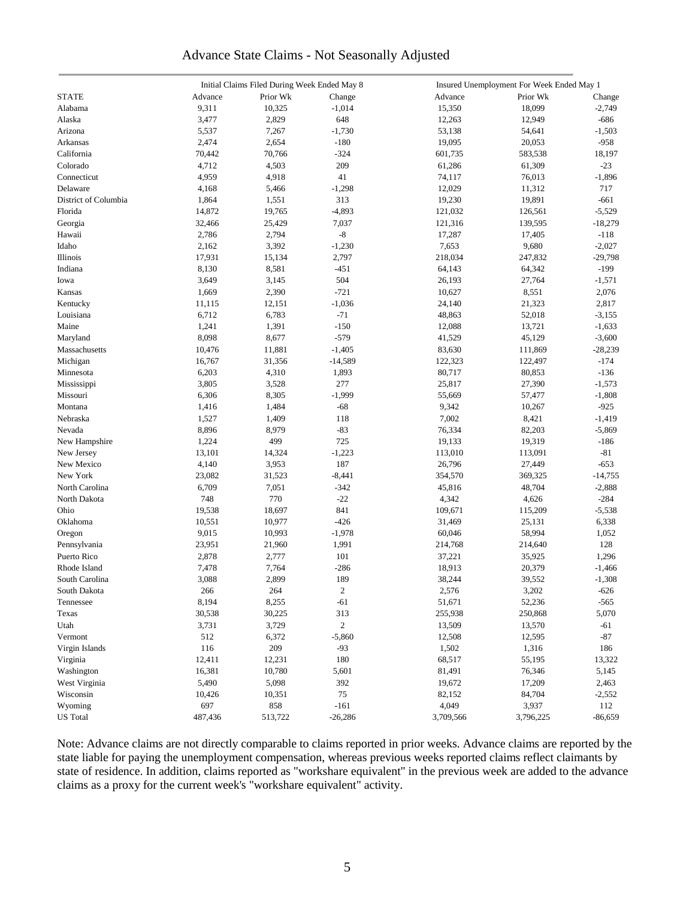### Advance State Claims - Not Seasonally Adjusted

| Initial Claims Filed During Week Ended May 8 |         |          | Insured Unemployment For Week Ended May 1 |           |           |           |  |
|----------------------------------------------|---------|----------|-------------------------------------------|-----------|-----------|-----------|--|
| <b>STATE</b>                                 | Advance | Prior Wk | Change                                    | Advance   | Prior Wk  | Change    |  |
| Alabama                                      | 9,311   | 10,325   | $-1,014$                                  | 15,350    | 18,099    | $-2,749$  |  |
| Alaska                                       | 3,477   | 2,829    | 648                                       | 12,263    | 12,949    | $-686$    |  |
| Arizona                                      | 5,537   | 7,267    | $-1,730$                                  | 53,138    | 54,641    | $-1,503$  |  |
| Arkansas                                     | 2,474   | 2,654    | $-180$                                    | 19,095    | 20,053    | $-958$    |  |
| California                                   | 70,442  | 70,766   | $-324$                                    | 601,735   | 583,538   | 18,197    |  |
| Colorado                                     | 4,712   | 4,503    | 209                                       | 61,286    | 61,309    | $-23$     |  |
| Connecticut                                  | 4,959   | 4,918    | 41                                        | 74,117    | 76,013    |           |  |
|                                              |         |          |                                           |           |           | $-1,896$  |  |
| Delaware                                     | 4,168   | 5,466    | $-1,298$                                  | 12,029    | 11,312    | 717       |  |
| District of Columbia                         | 1,864   | 1,551    | 313                                       | 19,230    | 19,891    | $-661$    |  |
| Florida                                      | 14,872  | 19,765   | $-4,893$                                  | 121,032   | 126,561   | $-5,529$  |  |
| Georgia                                      | 32,466  | 25,429   | 7,037                                     | 121,316   | 139,595   | $-18,279$ |  |
| Hawaii                                       | 2,786   | 2,794    | $\mbox{-}8$                               | 17,287    | 17,405    | $-118$    |  |
| Idaho                                        | 2,162   | 3,392    | $-1,230$                                  | 7,653     | 9,680     | $-2,027$  |  |
| Illinois                                     | 17,931  | 15,134   | 2,797                                     | 218,034   | 247,832   | $-29,798$ |  |
| Indiana                                      | 8,130   | 8,581    | $-451$                                    | 64,143    | 64,342    | $-199$    |  |
| Iowa                                         | 3,649   | 3,145    | 504                                       | 26,193    | 27,764    | $-1,571$  |  |
| Kansas                                       | 1,669   | 2,390    | $-721$                                    | 10,627    | 8,551     | 2,076     |  |
| Kentucky                                     | 11,115  | 12,151   | $-1,036$                                  | 24,140    | 21,323    | 2,817     |  |
| Louisiana                                    | 6,712   | 6,783    | $-71$                                     | 48,863    | 52,018    | $-3,155$  |  |
| Maine                                        | 1,241   | 1,391    | $-150$                                    | 12,088    | 13,721    | $-1,633$  |  |
| Maryland                                     | 8,098   | 8,677    | $-579$                                    | 41,529    | 45,129    | $-3,600$  |  |
| Massachusetts                                | 10,476  | 11,881   | $-1,405$                                  | 83,630    | 111,869   | $-28,239$ |  |
| Michigan                                     | 16,767  | 31,356   | $-14,589$                                 | 122,323   | 122,497   | $-174$    |  |
| Minnesota                                    | 6,203   | 4,310    | 1,893                                     | 80,717    | 80,853    | $-136$    |  |
| Mississippi                                  | 3,805   | 3,528    | 277                                       | 25,817    | 27,390    | $-1,573$  |  |
| Missouri                                     | 6,306   | 8,305    | $-1,999$                                  | 55,669    | 57,477    | $-1,808$  |  |
| Montana                                      | 1,416   | 1,484    | $-68$                                     | 9,342     | 10,267    | $-925$    |  |
| Nebraska                                     | 1,527   | 1,409    | 118                                       | 7,002     | 8,421     | $-1,419$  |  |
| Nevada                                       | 8,896   | 8,979    | $-83$                                     | 76,334    | 82,203    | $-5,869$  |  |
|                                              | 1,224   | 499      | 725                                       | 19,133    | 19,319    | $-186$    |  |
| New Hampshire                                |         |          |                                           |           |           |           |  |
| New Jersey                                   | 13,101  | 14,324   | $-1,223$                                  | 113,010   | 113,091   | $-81$     |  |
| New Mexico                                   | 4,140   | 3,953    | 187                                       | 26,796    | 27,449    | $-653$    |  |
| New York                                     | 23,082  | 31,523   | $-8,441$                                  | 354,570   | 369,325   | $-14,755$ |  |
| North Carolina                               | 6,709   | 7,051    | $-342$                                    | 45,816    | 48,704    | $-2,888$  |  |
| North Dakota                                 | 748     | 770      | $-22$                                     | 4,342     | 4,626     | $-284$    |  |
| Ohio                                         | 19,538  | 18,697   | 841                                       | 109,671   | 115,209   | $-5,538$  |  |
| Oklahoma                                     | 10,551  | 10,977   | $-426$                                    | 31,469    | 25,131    | 6,338     |  |
| Oregon                                       | 9,015   | 10,993   | $-1,978$                                  | 60,046    | 58,994    | 1,052     |  |
| Pennsylvania                                 | 23,951  | 21,960   | 1,991                                     | 214,768   | 214,640   | 128       |  |
| Puerto Rico                                  | 2,878   | 2,777    | 101                                       | 37,221    | 35,925    | 1,296     |  |
| Rhode Island                                 | 7,478   | 7,764    | $-286$                                    | 18,913    | 20,379    | $-1,466$  |  |
| South Carolina                               | 3,088   | 2,899    | 189                                       | 38,244    | 39,552    | $-1,308$  |  |
| South Dakota                                 | 266     | 264      | $\sqrt{2}$                                | 2,576     | 3,202     | $-626$    |  |
| Tennessee                                    | 8,194   | 8,255    | $-61$                                     | 51,671    | 52,236    | $-565$    |  |
| Texas                                        | 30,538  | 30,225   | 313                                       | 255,938   | 250,868   | 5,070     |  |
| Utah                                         | 3,731   | 3,729    | $\overline{c}$                            | 13,509    | 13,570    | -61       |  |
| Vermont                                      | 512     | 6,372    | $-5,860$                                  | 12,508    | 12,595    | $-87$     |  |
| Virgin Islands                               | 116     | $209\,$  | $-93$                                     | 1,502     | 1,316     | 186       |  |
| Virginia                                     | 12,411  | 12,231   | 180                                       | 68,517    | 55,195    | 13,322    |  |
| Washington                                   | 16,381  | 10,780   | 5,601                                     | 81,491    | 76,346    | 5,145     |  |
| West Virginia                                | 5,490   | 5,098    | 392                                       | 19,672    | 17,209    | 2,463     |  |
| Wisconsin                                    | 10,426  | 10,351   | 75                                        | 82,152    | 84,704    | $-2,552$  |  |
| Wyoming                                      | 697     | 858      | $-161$                                    | 4,049     | 3,937     | 112       |  |
| <b>US</b> Total                              |         | 513,722  |                                           |           |           |           |  |
|                                              | 487,436 |          | $-26,286$                                 | 3,709,566 | 3,796,225 | $-86,659$ |  |

Note: Advance claims are not directly comparable to claims reported in prior weeks. Advance claims are reported by the state liable for paying the unemployment compensation, whereas previous weeks reported claims reflect claimants by state of residence. In addition, claims reported as "workshare equivalent" in the previous week are added to the advance claims as a proxy for the current week's "workshare equivalent" activity.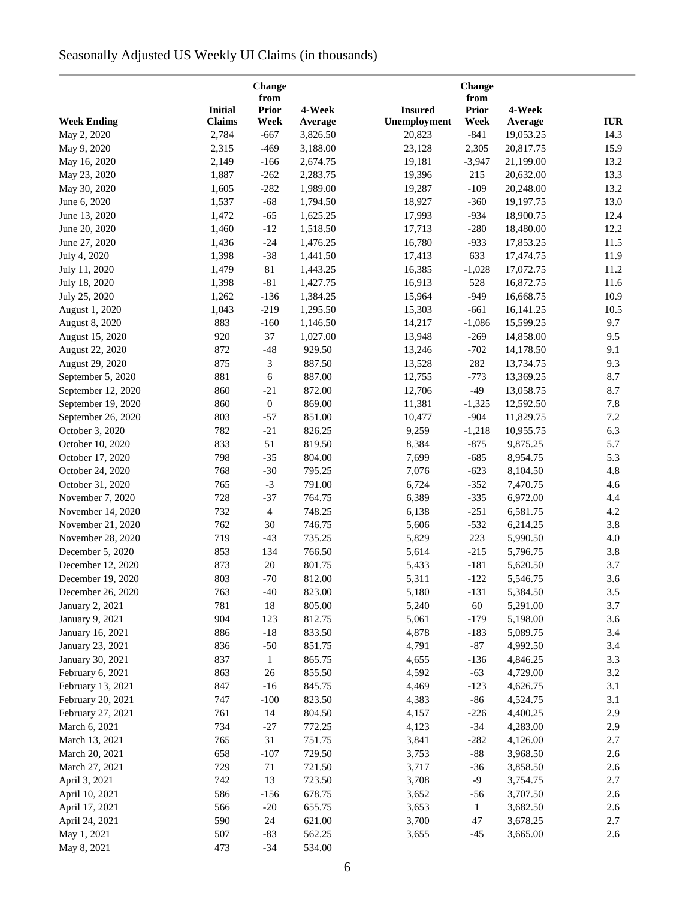# Seasonally Adjusted US Weekly UI Claims (in thousands)

|                       |                | <b>Change</b>        |          |                | Change               |           |            |
|-----------------------|----------------|----------------------|----------|----------------|----------------------|-----------|------------|
|                       | <b>Initial</b> | from<br><b>Prior</b> | 4-Week   | <b>Insured</b> | from<br><b>Prior</b> | 4-Week    |            |
| <b>Week Ending</b>    | <b>Claims</b>  | Week                 | Average  | Unemployment   | Week                 | Average   | <b>IUR</b> |
| May 2, 2020           | 2,784          | $-667$               | 3,826.50 | 20,823         | $-841$               | 19,053.25 | 14.3       |
| May 9, 2020           | 2,315          | $-469$               | 3,188.00 | 23,128         | 2,305                | 20,817.75 | 15.9       |
| May 16, 2020          | 2,149          | $-166$               | 2,674.75 | 19,181         | $-3,947$             | 21,199.00 | 13.2       |
| May 23, 2020          | 1,887          | $-262$               | 2,283.75 | 19,396         | 215                  | 20,632.00 | 13.3       |
| May 30, 2020          | 1,605          | $-282$               | 1,989.00 | 19,287         | $-109$               | 20,248.00 | 13.2       |
| June 6, 2020          | 1,537          | $-68$                | 1,794.50 | 18,927         | $-360$               | 19,197.75 | 13.0       |
| June 13, 2020         | 1,472          | $-65$                | 1,625.25 | 17,993         | $-934$               | 18,900.75 | 12.4       |
| June 20, 2020         | 1,460          | $-12$                | 1,518.50 | 17,713         | $-280$               | 18,480.00 | 12.2       |
| June 27, 2020         | 1,436          | $-24$                | 1,476.25 | 16,780         | $-933$               | 17,853.25 | 11.5       |
| July 4, 2020          | 1,398          | $-38$                | 1,441.50 | 17,413         | 633                  | 17,474.75 | 11.9       |
| July 11, 2020         | 1,479          | $81\,$               | 1,443.25 | 16,385         | $-1,028$             | 17,072.75 | 11.2       |
| July 18, 2020         | 1,398          | $-81$                | 1,427.75 | 16,913         | 528                  | 16,872.75 | 11.6       |
| July 25, 2020         | 1,262          | $-136$               | 1,384.25 | 15,964         | $-949$               | 16,668.75 | 10.9       |
| August 1, 2020        | 1,043          | $-219$               | 1,295.50 | 15,303         | $-661$               | 16,141.25 | 10.5       |
|                       | 883            | $-160$               | 1,146.50 | 14,217         | $-1,086$             | 15,599.25 | 9.7        |
| <b>August 8, 2020</b> | 920            | 37                   |          |                |                      |           | 9.5        |
| August 15, 2020       |                |                      | 1,027.00 | 13,948         | $-269$               | 14,858.00 |            |
| August 22, 2020       | 872            | $-48$                | 929.50   | 13,246         | $-702$               | 14,178.50 | 9.1        |
| August 29, 2020       | 875            | 3                    | 887.50   | 13,528         | 282                  | 13,734.75 | 9.3        |
| September 5, 2020     | 881            | $\sqrt{6}$           | 887.00   | 12,755         | $-773$               | 13,369.25 | 8.7        |
| September 12, 2020    | 860            | $-21$                | 872.00   | 12,706         | $-49$                | 13,058.75 | 8.7        |
| September 19, 2020    | 860            | $\boldsymbol{0}$     | 869.00   | 11,381         | $-1,325$             | 12,592.50 | 7.8        |
| September 26, 2020    | 803            | $-57$                | 851.00   | 10,477         | $-904$               | 11,829.75 | 7.2        |
| October 3, 2020       | 782            | $-21$                | 826.25   | 9,259          | $-1,218$             | 10,955.75 | 6.3        |
| October 10, 2020      | 833            | 51                   | 819.50   | 8,384          | $-875$               | 9,875.25  | 5.7        |
| October 17, 2020      | 798            | $-35$                | 804.00   | 7,699          | $-685$               | 8,954.75  | 5.3        |
| October 24, 2020      | 768            | $-30$                | 795.25   | 7,076          | $-623$               | 8,104.50  | 4.8        |
| October 31, 2020      | 765            | $-3$                 | 791.00   | 6,724          | $-352$               | 7,470.75  | 4.6        |
| November 7, 2020      | 728            | $-37$                | 764.75   | 6,389          | $-335$               | 6,972.00  | 4.4        |
| November 14, 2020     | 732            | $\overline{4}$       | 748.25   | 6,138          | $-251$               | 6,581.75  | 4.2        |
| November 21, 2020     | 762            | 30                   | 746.75   | 5,606          | $-532$               | 6,214.25  | 3.8        |
| November 28, 2020     | 719            | $-43$                | 735.25   | 5,829          | 223                  | 5,990.50  | 4.0        |
| December 5, 2020      | 853            | 134                  | 766.50   | 5,614          | $-215$               | 5,796.75  | 3.8        |
| December 12, 2020     | 873            | 20                   | 801.75   | 5,433          | $-181$               | 5,620.50  | 3.7        |
| December 19, 2020     | 803            | $-70$                | 812.00   | 5,311          | $-122$               | 5,546.75  | 3.6        |
| December 26, 2020     | 763            | $-40$                | 823.00   | 5,180          | $-131$               | 5,384.50  | 3.5        |
| January 2, 2021       | 781            | 18                   | 805.00   | 5,240          | 60                   | 5,291.00  | 3.7        |
| January 9, 2021       | 904            | 123                  | 812.75   | 5,061          | $-179$               | 5,198.00  | 3.6        |
| January 16, 2021      | 886            | $-18$                | 833.50   | 4,878          | $-183$               | 5,089.75  | 3.4        |
| January 23, 2021      | 836            | $-50$                | 851.75   | 4,791          | $-87$                | 4,992.50  | 3.4        |
| January 30, 2021      | 837            | $\mathbf{1}$         | 865.75   | 4,655          | $-136$               | 4,846.25  | 3.3        |
| February 6, 2021      | 863            | 26                   | 855.50   | 4,592          | $-63$                | 4,729.00  | 3.2        |
| February 13, 2021     | 847            | $-16$                | 845.75   | 4,469          | $-123$               | 4,626.75  | 3.1        |
| February 20, 2021     | 747            | $-100$               | 823.50   | 4,383          | $-86$                | 4,524.75  | 3.1        |
| February 27, 2021     | 761            | 14                   | 804.50   | 4,157          | $-226$               | 4,400.25  | 2.9        |
| March 6, 2021         | 734            | $-27$                | 772.25   | 4,123          | $-34$                | 4,283.00  | 2.9        |
| March 13, 2021        | 765            | 31                   | 751.75   | 3,841          | $-282$               | 4,126.00  | 2.7        |
| March 20, 2021        | 658            | $-107$               | 729.50   | 3,753          | $-88$                | 3,968.50  | 2.6        |
| March 27, 2021        | 729            | 71                   | 721.50   | 3,717          | $-36$                | 3,858.50  | 2.6        |
| April 3, 2021         | 742            | 13                   | 723.50   | 3,708          | $-9$                 | 3,754.75  | 2.7        |
| April 10, 2021        | 586            | $-156$               | 678.75   | 3,652          | $-56$                | 3,707.50  | 2.6        |
| April 17, 2021        | 566            | $-20$                | 655.75   | 3,653          | $\mathbf{1}$         | 3,682.50  | 2.6        |
| April 24, 2021        | 590            | 24                   | 621.00   | 3,700          | 47                   | 3,678.25  | 2.7        |
| May 1, 2021           | 507            | $-83$                | 562.25   | 3,655          | $-45$                | 3,665.00  | 2.6        |
| May 8, 2021           | 473            | $-34$                | 534.00   |                |                      |           |            |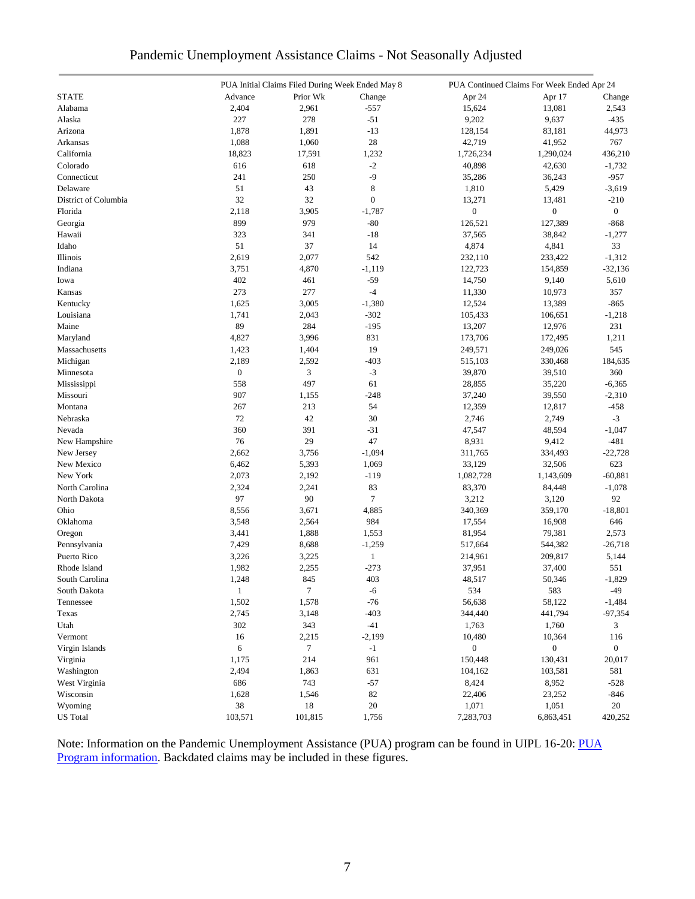| Pandemic Unemployment Assistance Claims - Not Seasonally Adjusted |  |  |  |
|-------------------------------------------------------------------|--|--|--|
|                                                                   |  |  |  |

|                      |                  | PUA Initial Claims Filed During Week Ended May 8 |                  | PUA Continued Claims For Week Ended Apr 24 |                  |                  |
|----------------------|------------------|--------------------------------------------------|------------------|--------------------------------------------|------------------|------------------|
| <b>STATE</b>         | Advance          | Prior Wk                                         | Change           | Apr 24                                     | Apr 17           | Change           |
| Alabama              | 2,404            | 2,961                                            | $-557$           | 15,624                                     | 13,081           | 2,543            |
| Alaska               | 227              | 278                                              | $-51$            | 9,202                                      | 9,637            | $-435$           |
| Arizona              | 1,878            | 1,891                                            | $-13$            | 128,154                                    | 83,181           | 44,973           |
| Arkansas             | 1,088            | 1,060                                            | 28               | 42,719                                     | 41,952           | 767              |
| California           | 18,823           | 17,591                                           | 1,232            | 1,726,234                                  | 1,290,024        | 436,210          |
| Colorado             | 616              | 618                                              | $-2$             | 40,898                                     | 42,630           | $-1,732$         |
| Connecticut          | 241              | 250                                              | -9               | 35,286                                     | 36,243           | $-957$           |
| Delaware             | 51               | 43                                               | $\,8$            | 1,810                                      | 5,429            | $-3,619$         |
| District of Columbia | 32               | 32                                               | $\boldsymbol{0}$ | 13,271                                     | 13,481           | $-210$           |
| Florida              | 2,118            | 3,905                                            | $-1,787$         | $\boldsymbol{0}$                           | $\boldsymbol{0}$ | $\boldsymbol{0}$ |
| Georgia              | 899              | 979                                              | $-80$            | 126,521                                    | 127,389          | $-868$           |
| Hawaii               | 323              | 341                                              | $-18$            | 37,565                                     | 38,842           | $-1,277$         |
| Idaho                | 51               | 37                                               | 14               | 4,874                                      | 4,841            | 33               |
| Illinois             | 2,619            | 2,077                                            | 542              | 232,110                                    | 233,422          | $-1,312$         |
| Indiana              | 3,751            | 4,870                                            | $-1,119$         | 122,723                                    | 154,859          | $-32,136$        |
| Iowa                 | 402              | 461                                              | $-59$            | 14,750                                     | 9,140            | 5,610            |
| Kansas               | 273              | 277                                              | $-4$             | 11,330                                     | 10,973           | 357              |
| Kentucky             | 1,625            | 3,005                                            | $-1,380$         | 12,524                                     | 13,389           | $-865$           |
| Louisiana            | 1,741            | 2,043                                            | $-302$           | 105,433                                    | 106,651          | $-1,218$         |
| Maine                | 89               | 284                                              | $-195$           | 13,207                                     | 12,976           | 231              |
| Maryland             | 4,827            | 3,996                                            | 831              |                                            |                  |                  |
|                      |                  |                                                  | 19               | 173,706                                    | 172,495          | 1,211<br>545     |
| Massachusetts        | 1,423            | 1,404                                            |                  | 249,571                                    | 249,026          |                  |
| Michigan             | 2,189            | 2,592                                            | $-403$           | 515,103                                    | 330,468          | 184,635          |
| Minnesota            | $\boldsymbol{0}$ | $\mathfrak{Z}$                                   | $-3$             | 39,870                                     | 39,510           | 360              |
| Mississippi          | 558              | 497                                              | 61               | 28,855                                     | 35,220           | $-6,365$         |
| Missouri             | 907              | 1,155                                            | $-248$           | 37,240                                     | 39,550           | $-2,310$         |
| Montana              | 267              | 213                                              | 54               | 12,359                                     | 12,817           | $-458$           |
| Nebraska             | 72               | 42                                               | 30               | 2,746                                      | 2,749            | $-3$             |
| Nevada               | 360              | 391                                              | $-31$            | 47,547                                     | 48,594           | $-1,047$         |
| New Hampshire        | 76               | 29                                               | 47               | 8,931                                      | 9,412            | $-481$           |
| New Jersey           | 2,662            | 3,756                                            | $-1,094$         | 311,765                                    | 334,493          | $-22,728$        |
| New Mexico           | 6,462            | 5,393                                            | 1,069            | 33,129                                     | 32,506           | 623              |
| New York             | 2,073            | 2,192                                            | $-119$           | 1,082,728                                  | 1,143,609        | $-60,881$        |
| North Carolina       | 2,324            | 2,241                                            | 83               | 83,370                                     | 84,448           | $-1,078$         |
| North Dakota         | 97               | 90                                               | $\tau$           | 3,212                                      | 3,120            | 92               |
| Ohio                 | 8,556            | 3,671                                            | 4,885            | 340,369                                    | 359,170          | $-18,801$        |
| Oklahoma             | 3,548            | 2,564                                            | 984              | 17,554                                     | 16,908           | 646              |
| Oregon               | 3,441            | 1,888                                            | 1,553            | 81,954                                     | 79,381           | 2,573            |
| Pennsylvania         | 7,429            | 8,688                                            | $-1,259$         | 517,664                                    | 544,382          | $-26,718$        |
| Puerto Rico          | 3,226            | 3,225                                            | $\,1$            | 214,961                                    | 209,817          | 5,144            |
| Rhode Island         | 1,982            | 2,255                                            | $-273$           | 37,951                                     | 37,400           | 551              |
| South Carolina       | 1,248            | 845                                              | 403              | 48,517                                     | 50,346           | $-1,829$         |
| South Dakota         | $\mathbf{1}$     | $\tau$                                           | $-6$             | 534                                        | 583              | $-49$            |
| Tennessee            | 1,502            | 1,578                                            | $-76$            | 56,638                                     | 58,122           | $-1,484$         |
| Texas                | 2,745            | 3,148                                            | $-403$           | 344,440                                    | 441,794          | $-97,354$        |
| Utah                 | 302              | 343                                              | $-41$            | 1,763                                      | 1,760            | 3                |
| Vermont              | 16               | 2,215                                            | $-2,199$         | 10,480                                     | 10,364           | 116              |
| Virgin Islands       | 6                | 7                                                | $-1$             | $\boldsymbol{0}$                           | $\boldsymbol{0}$ | $\boldsymbol{0}$ |
| Virginia             | 1,175            | 214                                              | 961              | 150,448                                    | 130,431          | 20,017           |
| Washington           | 2,494            | 1,863                                            | 631              | 104,162                                    | 103,581          | 581              |
| West Virginia        | 686              | 743                                              | $-57$            | 8,424                                      | 8,952            | $-528$           |
| Wisconsin            | 1,628            | 1,546                                            | 82               | 22,406                                     | 23,252           | $-846$           |
| Wyoming              | 38               | 18                                               | 20               | 1,071                                      | 1,051            | 20               |
| <b>US</b> Total      | 103,571          | 101,815                                          | 1,756            | 7,283,703                                  | 6,863,451        | 420,252          |
|                      |                  |                                                  |                  |                                            |                  |                  |

Note: Information on the Pandemic Unemployment Assistance (PUA) program can be found in UIPL 16-20: PUA [Program information.](https://wdr.doleta.gov/directives/corr_doc.cfm?DOCN=4628) Backdated claims may be included in these figures.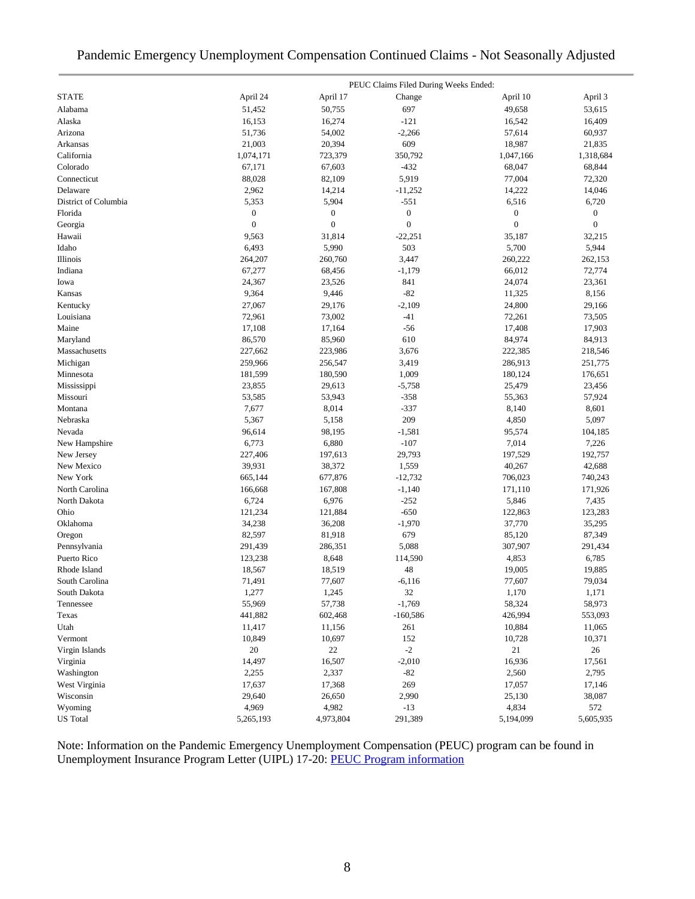### Pandemic Emergency Unemployment Compensation Continued Claims - Not Seasonally Adjusted

|                      |                  |                  | PEUC Claims Filed During Weeks Ended: |                  |                  |
|----------------------|------------------|------------------|---------------------------------------|------------------|------------------|
| <b>STATE</b>         | April 24         | April 17         | Change                                | April 10         | April 3          |
| Alabama              | 51,452           | 50,755           | 697                                   | 49,658           | 53,615           |
| Alaska               | 16,153           | 16,274           | $-121$                                | 16,542           | 16,409           |
| Arizona              | 51,736           | 54,002           | $-2,266$                              | 57,614           | 60,937           |
| Arkansas             | 21,003           | 20,394           | 609                                   | 18,987           | 21,835           |
| California           | 1,074,171        | 723,379          | 350,792                               | 1,047,166        | 1,318,684        |
| Colorado             | 67,171           | 67,603           | $-432$                                | 68,047           | 68,844           |
| Connecticut          | 88,028           | 82,109           | 5,919                                 | 77,004           | 72,320           |
| Delaware             | 2,962            | 14,214           | $-11,252$                             | 14,222           | 14,046           |
| District of Columbia | 5,353            | 5,904            | $-551$                                | 6,516            | 6,720            |
| Florida              | $\boldsymbol{0}$ | $\boldsymbol{0}$ | $\boldsymbol{0}$                      | $\boldsymbol{0}$ | $\boldsymbol{0}$ |
| Georgia              | $\boldsymbol{0}$ | $\boldsymbol{0}$ | $\boldsymbol{0}$                      | $\boldsymbol{0}$ | $\mathbf{0}$     |
| Hawaii               | 9,563            | 31,814           | $-22,251$                             | 35,187           | 32,215           |
| Idaho                | 6,493            | 5,990            | 503                                   | 5,700            | 5,944            |
| Illinois             | 264,207          | 260,760          | 3,447                                 | 260,222          | 262,153          |
| Indiana              | 67,277           | 68,456           | $-1,179$                              | 66,012           | 72,774           |
| Iowa                 | 24,367           | 23,526           | 841                                   | 24,074           | 23,361           |
| Kansas               | 9,364            | 9,446            | $-82$                                 | 11,325           | 8,156            |
| Kentucky             | 27,067           | 29,176           | $-2,109$                              | 24,800           | 29,166           |
| Louisiana            | 72,961           | 73,002           | -41                                   | 72,261           | 73,505           |
| Maine                | 17,108           | 17,164           | $-56$                                 | 17,408           | 17,903           |
| Maryland             | 86,570           | 85,960           | 610                                   | 84,974           | 84,913           |
| Massachusetts        | 227,662          | 223,986          | 3,676                                 | 222,385          | 218,546          |
| Michigan             | 259,966          | 256,547          | 3,419                                 | 286,913          | 251,775          |
| Minnesota            | 181,599          | 180,590          | 1,009                                 | 180,124          | 176,651          |
| Mississippi          | 23,855           | 29,613           | $-5,758$                              | 25,479           | 23,456           |
| Missouri             | 53,585           | 53,943           | $-358$                                | 55,363           | 57,924           |
| Montana              | 7,677            | 8,014            | $-337$                                | 8,140            | 8,601            |
| Nebraska             | 5,367            | 5,158            | 209                                   | 4,850            | 5,097            |
| Nevada               | 96,614           | 98,195           | $-1,581$                              | 95,574           | 104,185          |
| New Hampshire        | 6,773            | 6,880            | $-107$                                | 7,014            | 7,226            |
| New Jersey           | 227,406          | 197,613          | 29,793                                | 197,529          | 192,757          |
| New Mexico           | 39,931           | 38,372           | 1,559                                 | 40,267           | 42,688           |
| New York             | 665,144          | 677,876          | $-12,732$                             | 706,023          | 740,243          |
| North Carolina       | 166,668          | 167,808          | $-1,140$                              | 171,110          | 171,926          |
| North Dakota         | 6,724            | 6,976            | $-252$                                | 5,846            | 7,435            |
| Ohio                 | 121,234          | 121,884          | $-650$                                | 122,863          | 123,283          |
| Oklahoma             | 34,238           | 36,208           | $-1,970$                              | 37,770           | 35,295           |
| Oregon               | 82,597           | 81,918           | 679                                   | 85,120           | 87,349           |
| Pennsylvania         | 291,439          | 286,351          | 5,088                                 | 307,907          | 291,434          |
| Puerto Rico          | 123,238          | 8,648            | 114,590                               | 4,853            | 6,785            |
| Rhode Island         | 18,567           | 18,519           | 48                                    | 19,005           | 19,885           |
| South Carolina       | 71,491           | 77,607           | $-6,116$                              | 77,607           | 79,034           |
| South Dakota         | 1,277            | 1,245            | 32                                    | 1,170            | 1,171            |
| Tennessee            | 55,969           | 57,738           | $-1,769$                              | 58,324           | 58,973           |
| Texas                | 441,882          | 602,468          | $-160,586$                            | 426,994          | 553,093          |
| Utah                 | 11,417           | 11,156           | 261                                   | 10,884           | 11,065           |
| Vermont              | 10,849           | 10,697           | 152                                   | 10,728           | 10,371           |
| Virgin Islands       | 20               | 22               | $-2$                                  | 21               | 26               |
| Virginia             | 14,497           | 16,507           | $-2,010$                              | 16,936           | 17,561           |
| Washington           | 2,255            | 2,337            | $-82$                                 | 2,560            | 2,795            |
| West Virginia        | 17,637           | 17,368           | 269                                   | 17,057           | 17,146           |
| Wisconsin            | 29,640           | 26,650           | 2,990                                 | 25,130           | 38,087           |
| Wyoming              | 4,969            | 4,982            | $-13$                                 | 4,834            | 572              |
| <b>US</b> Total      | 5,265,193        | 4,973,804        | 291,389                               | 5,194,099        | 5,605,935        |

Note: Information on the Pandemic Emergency Unemployment Compensation (PEUC) program can be found in Unemployment Insurance Program Letter (UIPL) 17-20: [PEUC Program information](https://wdr.doleta.gov/directives/corr_doc.cfm?DOCN=8452)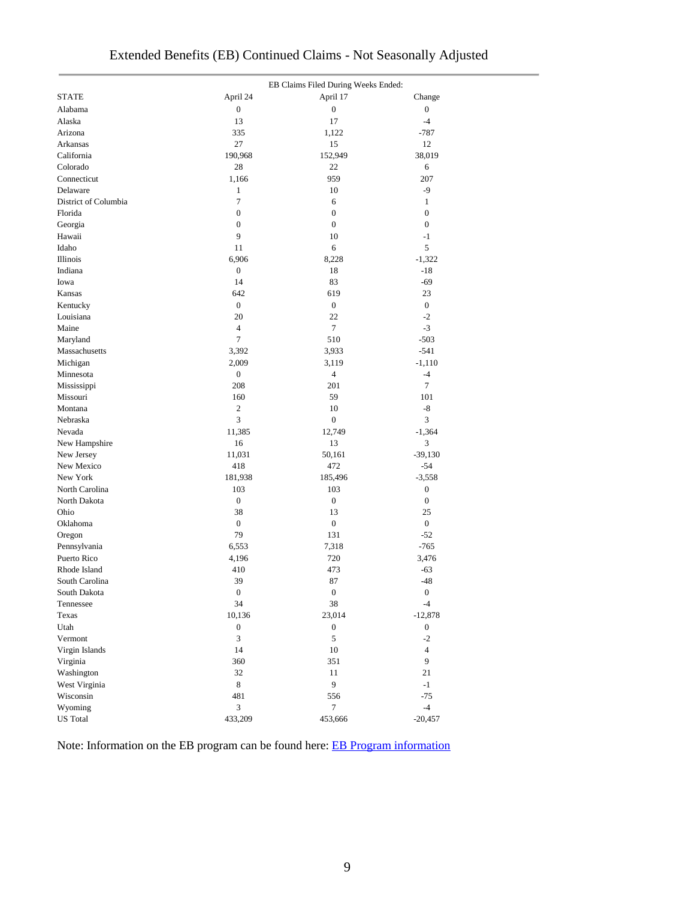|                      |                  | EB Claims Filed During Weeks Ended: |                  |
|----------------------|------------------|-------------------------------------|------------------|
| <b>STATE</b>         | April 24         | April 17                            | Change           |
| Alabama              | $\boldsymbol{0}$ | $\boldsymbol{0}$                    | $\boldsymbol{0}$ |
| Alaska               | 13               | 17                                  | $-4$             |
| Arizona              | 335              | 1,122                               | $-787$           |
| Arkansas             | 27               | 15                                  | 12               |
| California           | 190,968          | 152,949                             | 38,019           |
| Colorado             | 28               | 22                                  | 6                |
| Connecticut          | 1,166            | 959                                 | 207              |
| Delaware             | $\mathbf{1}$     | 10                                  | $-9$             |
| District of Columbia | $\tau$           | 6                                   | $\mathbf{1}$     |
| Florida              | 0                | $\boldsymbol{0}$                    | $\mathbf{0}$     |
| Georgia              | $\boldsymbol{0}$ | $\boldsymbol{0}$                    | $\boldsymbol{0}$ |
| Hawaii               | 9                | 10                                  | $-1$             |
| Idaho                | 11               | 6                                   | 5                |
| Illinois             | 6,906            | 8,228                               | $-1,322$         |
| Indiana              | $\boldsymbol{0}$ | 18                                  | $-18$            |
| Iowa                 | 14               | 83                                  | $-69$            |
| Kansas               | 642              | 619                                 | 23               |
| Kentucky             | $\boldsymbol{0}$ | $\boldsymbol{0}$                    | $\boldsymbol{0}$ |
| Louisiana            | 20               | 22                                  | $-2$             |
| Maine                | 4                | 7                                   | $-3$             |
| Maryland             | 7                | 510                                 | $-503$           |
| Massachusetts        | 3,392            | 3,933                               | $-541$           |
| Michigan             | 2,009            | 3,119                               | $-1,110$         |
| Minnesota            | $\boldsymbol{0}$ | $\overline{4}$                      | $-4$             |
| Mississippi          | 208              | 201                                 | $\tau$           |
| Missouri             | 160              | 59                                  | 101              |
| Montana              | $\overline{2}$   | 10                                  | -8               |
| Nebraska             | 3                | $\boldsymbol{0}$                    | 3                |
| Nevada               | 11,385           | 12,749                              | $-1,364$         |
| New Hampshire        | 16               | 13                                  | 3                |
| New Jersey           | 11,031           | 50,161                              | $-39,130$        |
| New Mexico           | 418              | 472                                 | $-54$            |
| New York             | 181,938          | 185,496                             | $-3,558$         |
| North Carolina       | 103              | 103                                 | $\boldsymbol{0}$ |
| North Dakota         | $\boldsymbol{0}$ | $\boldsymbol{0}$                    | $\boldsymbol{0}$ |
| Ohio                 | 38               | 13                                  | 25               |
| Oklahoma             | $\boldsymbol{0}$ | $\boldsymbol{0}$                    | $\boldsymbol{0}$ |
| Oregon               | 79               | 131                                 | $-52$            |
| Pennsylvania         | 6,553            | 7,318                               | $-765$           |
| Puerto Rico          | 4,196            | 720                                 | 3,476            |
| Rhode Island         | 410              | 473                                 | -63              |
| South Carolina       | 39               | 87                                  | $-48$            |
| South Dakota         | $\boldsymbol{0}$ | $\boldsymbol{0}$                    | $\boldsymbol{0}$ |
| Tennessee            | 34               | 38                                  | $-4$             |
| Texas                | 10,136           | 23,014                              | $-12,878$        |
| Utah                 | $\boldsymbol{0}$ | $\boldsymbol{0}$                    | $\boldsymbol{0}$ |
| Vermont              | 3                | 5                                   | $-2$             |
| Virgin Islands       | 14               | $10\,$                              | $\overline{4}$   |
|                      | 360              | 351                                 | 9                |
| Virginia             | 32               | 11                                  | 21               |
| Washington           | 8                | 9                                   | $-1$             |
| West Virginia        |                  |                                     |                  |
| Wisconsin            | 481              | 556                                 | $-75$            |
| Wyoming              | 3                | $\tau$                              | $-4$             |
| <b>US</b> Total      | 433,209          | 453,666                             | $-20,457$        |

Note: Information on the EB program can be found here: [EB Program information](https://oui.doleta.gov/unemploy/extenben.asp)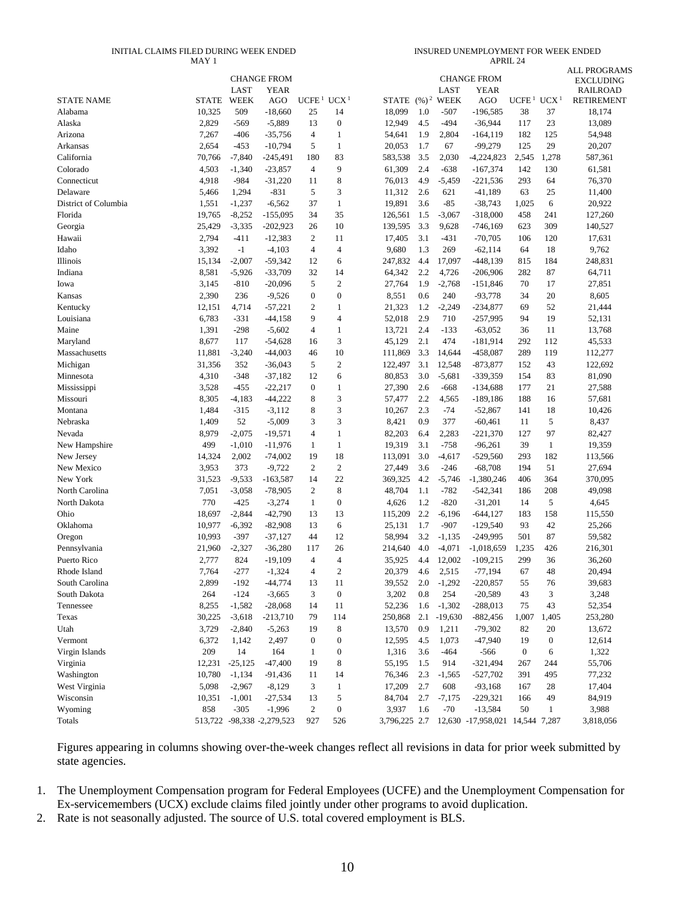#### INITIAL CLAIMS FILED DURING WEEK ENDED MAY 1

| INSURED UNEMPLOYMENT FOR WEEK ENDED |  |
|-------------------------------------|--|
| APRII.24                            |  |

|                      |                | LAST               | <b>CHANGE FROM</b><br><b>YEAR</b> |                        |                  |                     |            | <b>LAST</b>    | <b>CHANGE FROM</b><br><b>YEAR</b> |                   |                  | <b>ALL PROGRAMS</b><br><b>EXCLUDING</b><br><b>RAILROAD</b> |
|----------------------|----------------|--------------------|-----------------------------------|------------------------|------------------|---------------------|------------|----------------|-----------------------------------|-------------------|------------------|------------------------------------------------------------|
| <b>STATE NAME</b>    | <b>STATE</b>   | <b>WEEK</b>        | AGO                               | UCFE <sup>1</sup>      | UCX <sup>1</sup> | STATE $(\%)^2$ WEEK |            |                | AGO                               | UCFE <sup>1</sup> | UCX <sup>1</sup> | <b>RETIREMENT</b>                                          |
| Alabama              | 10,325         | 509                | $-18,660$                         | 25                     | 14               | 18,099              | 1.0        | $-507$         | $-196,585$                        | 38                | 37               | 18,174                                                     |
| Alaska               | 2,829          | $-569$             | $-5,889$                          | 13                     | $\boldsymbol{0}$ | 12,949              | 4.5        | $-494$         | $-36,944$                         | 117               | 23               | 13,089                                                     |
| Arizona              | 7,267          | $-406$             | $-35,756$                         | 4                      | $\mathbf{1}$     | 54,641              | 1.9        | 2,804          | $-164, 119$                       | 182               | 125              | 54,948                                                     |
| Arkansas             | 2,654          | $-453$             | $-10,794$                         | 5                      | $\mathbf{1}$     | 20,053              | 1.7        | 67             | $-99,279$                         | 125               | 29               | 20,207                                                     |
| California           | 70,766         | $-7,840$           | $-245,491$                        | 180                    | 83               | 583,538             | 3.5        | 2,030          | -4,224,823                        | 2,545             | 1,278            | 587,361                                                    |
| Colorado             | 4,503          | $-1,340$           | $-23,857$                         | 4                      | 9                | 61,309              | 2.4        | $-638$         | $-167,374$                        | 142               | 130              | 61,581                                                     |
| Connecticut          | 4,918          | $-984$             | $-31,220$                         | 11                     | 8                | 76,013              | 4.9        | $-5,459$       | $-221,536$                        | 293               | 64               | 76,370                                                     |
| Delaware             | 5,466          | 1,294              | $-831$                            | 5                      | 3                | 11,312              | 2.6        | 621            | $-41,189$                         | 63                | 25               | 11,400                                                     |
| District of Columbia | 1,551          | $-1,237$           | $-6,562$                          | 37                     | $\mathbf{1}$     | 19,891              | 3.6        | $-85$          | $-38,743$                         | 1,025             | 6                | 20,922                                                     |
| Florida              | 19,765         | $-8,252$           | $-155,095$                        | 34                     | 35               | 126,561             | 1.5        | $-3,067$       | $-318,000$                        | 458               | 241              | 127,260                                                    |
| Georgia              | 25,429         | $-3,335$           | $-202,923$                        | 26                     | 10               | 139,595             | 3.3        | 9,628          | $-746,169$                        | 623               | 309              | 140,527                                                    |
| Hawaii               | 2,794          | $-411$             | $-12,383$                         | 2                      | 11               | 17,405              | 3.1        | $-431$         | $-70,705$                         | 106               | 120              | 17,631                                                     |
| Idaho                | 3,392          | $-1$               | $-4,103$                          | 4                      | $\overline{4}$   | 9,680               | 1.3        | 269            | $-62,114$                         | 64                | 18               | 9,762                                                      |
| Illinois             | 15,134         | $-2,007$           | $-59,342$                         | 12                     | 6                | 247,832             | 4.4        | 17,097         | $-448,139$                        | 815               | 184              | 248,831                                                    |
| Indiana              | 8,581          | $-5,926$           | $-33,709$                         | 32                     | 14               | 64,342              | 2.2        | 4,726          | $-206,906$                        | 282               | 87               | 64,711                                                     |
| Iowa                 | 3,145          | $-810$             | $-20,096$                         | 5                      | $\mathfrak{2}$   | 27,764              | 1.9        | $-2,768$       | $-151,846$                        | 70                | 17               | 27,851                                                     |
| Kansas               | 2,390          | 236                | $-9,526$                          | $\mathbf{0}$           | $\boldsymbol{0}$ | 8,551               | 0.6        | 240            | $-93,778$                         | 34                | 20               | 8,605                                                      |
| Kentucky             | 12,151         | 4,714              | $-57,221$                         | $\overline{2}$         | $\mathbf{1}$     | 21,323              | 1.2        | $-2,249$       | $-234,877$                        | 69                | 52               | 21,444                                                     |
| Louisiana            | 6,783          | $-331$             | $-44,158$                         | 9                      | $\overline{4}$   | 52,018              | 2.9        | 710            | $-257,995$                        | 94                | 19               | 52,131                                                     |
| Maine                | 1,391          | $-298$             | $-5,602$                          | $\overline{4}$         | $\mathbf{1}$     | 13,721              | 2.4        | $-133$         | $-63,052$                         | 36                | 11               | 13,768                                                     |
| Maryland             | 8,677          | 117                | $-54,628$                         | 16                     | 3                | 45,129              | 2.1        | 474            | $-181,914$                        | 292               | 112              | 45,533                                                     |
| Massachusetts        | 11,881         | $-3,240$           | $-44,003$                         | 46                     | 10               | 111,869             | 3.3        | 14,644         | $-458,087$                        | 289               | 119              | 112,277                                                    |
| Michigan             | 31,356         | 352                | $-36,043$                         | 5                      | $\mathfrak{2}$   | 122,497             | 3.1        | 12,548         | $-873,877$                        | 152               | 43               | 122,692                                                    |
| Minnesota            | 4,310          | $-348$             | $-37,182$<br>$-22,217$            | 12<br>$\boldsymbol{0}$ | 6                | 80,853              | 3.0        | $-5,681$       | $-339,359$                        | 154               | 83               | 81,090                                                     |
| Mississippi          | 3,528<br>8,305 | $-455$<br>$-4,183$ | $-44,222$                         | 8                      | 1<br>3           | 27,390              | 2.6<br>2.2 | $-668$         | $-134,688$                        | 177<br>188        | 21               | 27,588                                                     |
| Missouri<br>Montana  | 1,484          | $-315$             | $-3,112$                          | 8                      | 3                | 57,477<br>10,267    | 2.3        | 4,565<br>$-74$ | $-189,186$<br>$-52,867$           | 141               | 16<br>18         | 57,681<br>10,426                                           |
| Nebraska             | 1,409          | 52                 | $-5,009$                          | 3                      | 3                | 8,421               | 0.9        | 377            | $-60,461$                         | 11                | 5                | 8,437                                                      |
| Nevada               | 8,979          | $-2,075$           | $-19,571$                         | 4                      | $\mathbf{1}$     | 82,203              | 6.4        | 2,283          | $-221,370$                        | 127               | 97               | 82,427                                                     |
| New Hampshire        | 499            | $-1,010$           | $-11,976$                         | 1                      | $\mathbf{1}$     | 19,319              | 3.1        | $-758$         | $-96,261$                         | 39                | $\mathbf{1}$     | 19,359                                                     |
| New Jersey           | 14,324         | 2,002              | $-74,002$                         | 19                     | 18               | 113,091             | 3.0        | $-4,617$       | $-529,560$                        | 293               | 182              | 113,566                                                    |
| New Mexico           | 3,953          | 373                | $-9,722$                          | 2                      | $\mathfrak{2}$   | 27,449              | 3.6        | $-246$         | $-68,708$                         | 194               | 51               | 27,694                                                     |
| New York             | 31,523         | $-9,533$           | $-163,587$                        | 14                     | 22               | 369,325             | 4.2        | $-5,746$       | $-1,380,246$                      | 406               | 364              | 370,095                                                    |
| North Carolina       | 7,051          | $-3,058$           | $-78,905$                         | $\mathfrak{2}$         | $\,8$            | 48,704              | 1.1        | $-782$         | $-542,341$                        | 186               | 208              | 49,098                                                     |
| North Dakota         | 770            | $-425$             | $-3,274$                          | 1                      | $\mathbf{0}$     | 4,626               | 1.2        | $-820$         | $-31,201$                         | 14                | 5                | 4,645                                                      |
| Ohio                 | 18,697         | $-2,844$           | $-42,790$                         | 13                     | 13               | 115,209             | 2.2        | $-6,196$       | $-644,127$                        | 183               | 158              | 115,550                                                    |
| Oklahoma             | 10,977         | $-6,392$           | $-82,908$                         | 13                     | 6                | 25,131              | 1.7        | $-907$         | $-129,540$                        | 93                | 42               | 25,266                                                     |
| Oregon               | 10,993         | $-397$             | $-37,127$                         | 44                     | 12               | 58,994              | 3.2        | $-1,135$       | $-249,995$                        | 501               | 87               | 59,582                                                     |
| Pennsylvania         | 21,960         | $-2,327$           | $-36,280$                         | 117                    | 26               | 214,640             | 4.0        | $-4,071$       | $-1,018,659$                      | 1,235             | 426              | 216,301                                                    |
| Puerto Rico          | 2,777          | 824                | $-19,109$                         | $\overline{4}$         | $\overline{4}$   | 35,925              | 4.4        | 12,002         | $-109,215$                        | 299               | 36               | 36,260                                                     |
| Rhode Island         | 7,764          | $-277$             | $-1,324$                          | 4                      | $\overline{2}$   | 20,379              | 4.6        | 2,515          | $-77.194$                         | 67                | 48               | 20,494                                                     |
| South Carolina       | 2,899          | $-192$             | -44,774                           | 13                     | 11               | 39,552              | 2.0        | $-1,292$       | $-220,857$                        | 55                | 76               | 39,683                                                     |
| South Dakota         | 264            | $-124$             | $-3,665$                          | 3                      | $\boldsymbol{0}$ | 3,202               | $0.8\,$    | 254            | $-20,589$                         | 43                | 3                | 3,248                                                      |
| Tennessee            | 8,255          | $-1,582$           | $-28,068$                         | 14                     | 11               | 52,236              | 1.6        | $-1,302$       | $-288,013$                        | 75                | 43               | 52,354                                                     |
| Texas                | 30,225         | $-3,618$           | $-213,710$                        | 79                     | 114              | 250,868             |            | $2.1 - 19,630$ | $-882,456$                        | 1,007             | 1,405            | 253,280                                                    |
| Utah                 | 3,729          | $-2,840$           | $-5,263$                          | 19                     | 8                | 13,570              | 0.9        | 1,211          | $-79,302$                         | 82                | 20               | 13,672                                                     |
| Vermont              | 6,372          | 1,142              | 2,497                             | $\boldsymbol{0}$       | $\boldsymbol{0}$ | 12,595              | 4.5        | 1,073          | $-47,940$                         | 19                | $\boldsymbol{0}$ | 12,614                                                     |
| Virgin Islands       | 209            | 14                 | 164                               | $\mathbf{1}$           | $\boldsymbol{0}$ | 1,316               | 3.6        | -464           | $-566$                            | $\boldsymbol{0}$  | 6                | 1,322                                                      |
| Virginia             | 12,231         | $-25,125$          | $-47,400$                         | 19                     | $\,8\,$          | 55,195              | 1.5        | 914            | $-321,494$                        | 267               | 244              | 55,706                                                     |
| Washington           | 10,780         | $-1,134$           | -91,436                           | 11                     | 14               | 76,346              | 2.3        | $-1,565$       | $-527,702$                        | 391               | 495              | 77,232                                                     |
| West Virginia        | 5,098          | $-2,967$           | $-8,129$                          | 3                      | $\mathbf{1}$     | 17,209              | 2.7        | 608            | $-93,168$                         | 167               | 28               | 17,404                                                     |
| Wisconsin            | 10,351         | $-1,001$           | -27,534                           | 13                     | $\mathfrak s$    | 84,704              | 2.7        | $-7,175$       | $-229,321$                        | 166               | 49               | 84,919                                                     |
| Wyoming              | 858            | $-305$             | $-1,996$                          | $\boldsymbol{2}$       | $\boldsymbol{0}$ | 3,937               | 1.6        | $-70$          | $-13,584$                         | 50                | $\mathbf{1}$     | 3,988                                                      |
| Totals               |                |                    | 513,722 -98,338 -2,279,523        | 927                    | 526              | 3,796,225 2.7       |            |                | 12,630 -17,958,021 14,544 7,287   |                   |                  | 3,818,056                                                  |

Figures appearing in columns showing over-the-week changes reflect all revisions in data for prior week submitted by state agencies.

1. The Unemployment Compensation program for Federal Employees (UCFE) and the Unemployment Compensation for Ex-servicemembers (UCX) exclude claims filed jointly under other programs to avoid duplication.

2. Rate is not seasonally adjusted. The source of U.S. total covered employment is BLS.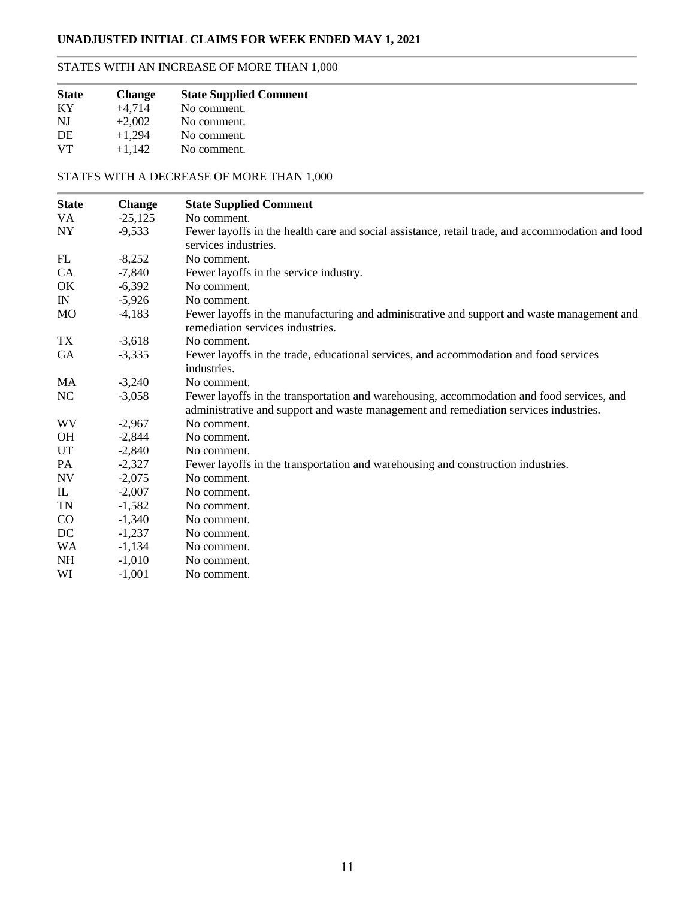## **UNADJUSTED INITIAL CLAIMS FOR WEEK ENDED MAY 1, 2021**

### STATES WITH AN INCREASE OF MORE THAN 1,000

| <b>State</b> | <b>Change</b> | <b>State Supplied Comment</b> |
|--------------|---------------|-------------------------------|
| KY           | $+4.714$      | No comment.                   |
| NJ           | $+2,002$      | No comment.                   |
| DE           | $+1.294$      | No comment.                   |
| <b>VT</b>    | $+1,142$      | No comment.                   |

### STATES WITH A DECREASE OF MORE THAN 1,000

| <b>State</b> | <b>Change</b> | <b>State Supplied Comment</b>                                                                    |
|--------------|---------------|--------------------------------------------------------------------------------------------------|
| VA           | $-25,125$     | No comment.                                                                                      |
| NY.          | $-9,533$      | Fewer layoffs in the health care and social assistance, retail trade, and accommodation and food |
|              |               | services industries.                                                                             |
| FL           | $-8,252$      | No comment.                                                                                      |
| CA           | $-7,840$      | Fewer layoffs in the service industry.                                                           |
| OK           | $-6,392$      | No comment.                                                                                      |
| IN           | $-5,926$      | No comment.                                                                                      |
| MO           | $-4,183$      | Fewer layoffs in the manufacturing and administrative and support and waste management and       |
|              |               | remediation services industries.                                                                 |
| TX           | $-3,618$      | No comment.                                                                                      |
| GA           | $-3,335$      | Fewer layoffs in the trade, educational services, and accommodation and food services            |
|              |               | industries.                                                                                      |
| <b>MA</b>    | $-3,240$      | No comment.                                                                                      |
| NC           | $-3,058$      | Fewer layoffs in the transportation and warehousing, accommodation and food services, and        |
|              |               | administrative and support and waste management and remediation services industries.             |
| WV           | $-2,967$      | No comment.                                                                                      |
| <b>OH</b>    | $-2,844$      | No comment.                                                                                      |
| UT           | $-2,840$      | No comment.                                                                                      |
| PA           | $-2,327$      | Fewer layoffs in the transportation and warehousing and construction industries.                 |
| <b>NV</b>    | $-2,075$      | No comment.                                                                                      |
| $\mathbf{I}$ | $-2,007$      | No comment.                                                                                      |
| TN           | $-1,582$      | No comment.                                                                                      |
| $\rm CO$     | $-1,340$      | No comment.                                                                                      |
| DC           | $-1,237$      | No comment.                                                                                      |
| <b>WA</b>    | $-1,134$      | No comment.                                                                                      |
| <b>NH</b>    | $-1,010$      | No comment.                                                                                      |
| WI           | $-1,001$      | No comment.                                                                                      |